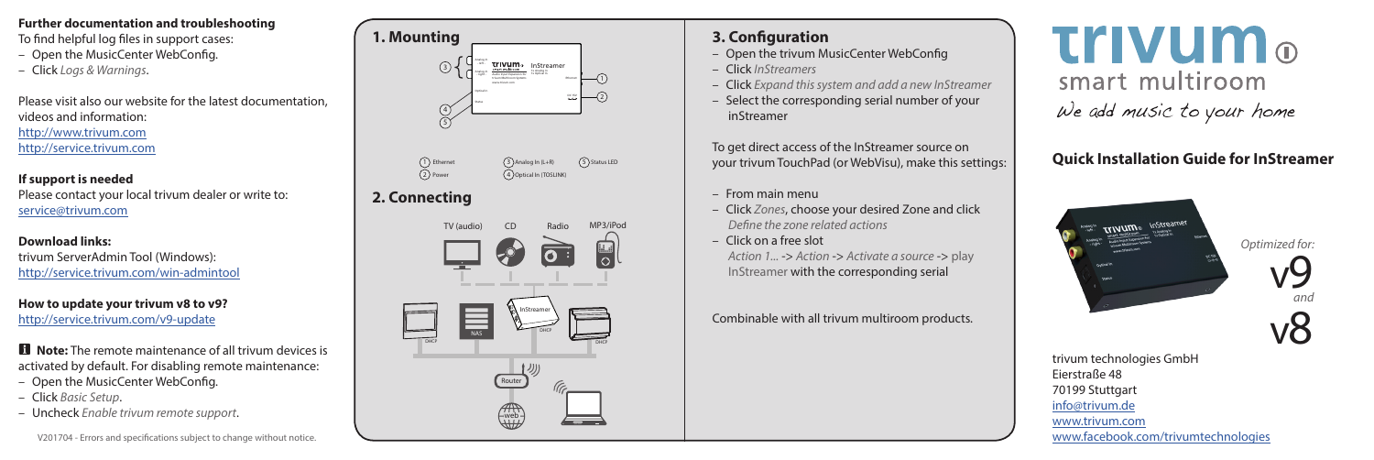### **Further documentation and troubleshooting**

To find helpful log files in support cases:

- Open the MusicCenter WebConfig.
- Click *Logs & Warnings*.

Please visit also our website for the latest documentation, videos and information: http://www.trivum.com http://service.trivum.com

#### **If support is needed**

Please contact your local trivum dealer or write to: service@trivum.com

**Download links:** trivum ServerAdmin Tool (Windows): http://service.trivum.com/win-admintool

**How to update your trivum v8 to v9?** http://service.trivum.com/v9-update

**i** Note: The remote maintenance of all trivum devices is activated by default. For disabling remote maintenance:

- Open the MusicCenter WebConfig.
- Click *Basic Setup*.
- Uncheck *Enable trivum remote support*.



**2. Connecting**



## **3. Configuration**

- Open the trivum MusicCenter WebConfig
- Click *InStreamers*
- Click *Expand this system and add a new InStreamer*
- Select the corresponding serial number of your inStreamer

To get direct access of the InStreamer source on your trivum TouchPad (or WebVisu), make this settings:

- From main menu
- Click *Zones*, choose your desired Zone and click *Define the zone related actions*
- Click on a free slot

*Action 1...* -> *Action* -> *Activate a source* -> play InStreamer with the corresponding serial

Combinable with all trivum multiroom products.

**Trivum**<sub>®</sub> smart multiroom We add music to your home

# **Quick Installation Guide for InStreamer**



trivum technologies GmbH

www.facebook.com/trivumtechnologies

Eierstraße 48 70199 Stuttgart info@trivum.de www.trivum.com *Optimized for:*

v

v 9 *and*

8